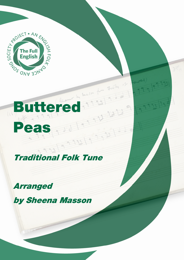

# Buttered Peas, Jacques 1913

## Traditional Folk Tune

Arranged

by Sheena Masson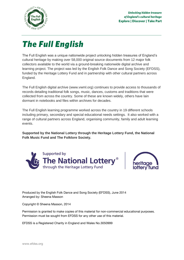

*The Full English* The Full English was a unique nationwide project unlocking hidden treasures of England's cultural heritage by making over 58,000 original source documents from 12 major folk collectors available to the world via a ground-breaking nationwide digital archive and learning project. The project was led by the English Folk Dance and Song Society (EFDSS), funded by the Heritage Lottery Fund and in partnership with other cultural partners across England.

The Full English digital archive (www.vwml.org) continues to provide access to thousands of records detailing traditional folk songs, music, dances, customs and traditions that were collected from across the country. Some of these are known widely, others have lain dormant in notebooks and files within archives for decades.

The Full English learning programme worked across the country in 19 different schools including primary, secondary and special educational needs settings. It also worked with a range of cultural partners across England, organising community, family and adult learning events.

**Supported by the National Lottery through the Heritage Lottery Fund, the National Folk Music Fund and The Folklore Society.**





Produced by the English Folk Dance and Song Society (EFDSS), June 2014 Arranged by: Sheena Masson

Copyright © Sheena Masson, 2014

Permission is granted to make copies of this material for non-commercial educational purposes. Permission must be sought from EFDSS for any other use of this material.

EFDSS is a Registered Charity in England and Wales No.3050999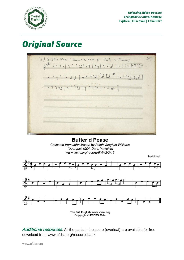

Traditional



**Butter'd Pease** Collected from John Mason by Ralph Vaughan Williams 10 August 1904, Dent, Yorkshire www.vwml.org/record/RVW2/3/15

The Full English: www.vwml.org Copyright © EFDSS 2014

Additional resources. All the parts in the score (overleaf) are available for free download from www.efdss.org/resourcebank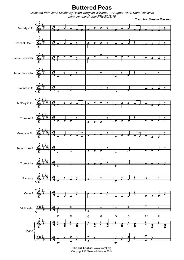### **Buttered Peas**

*Collected from John Mason by Ralph Vaughan Williams, 10 August 1904, Dent, Yorkshire www.vwml.org/record/RVW2/3/15*

![](_page_3_Figure_2.jpeg)

**The Full English:** www.vwml.org Copyright © Sheena Masson 2014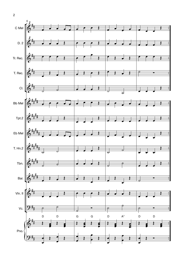![](_page_4_Figure_0.jpeg)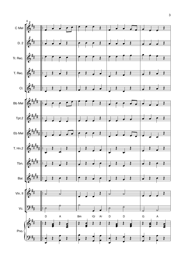![](_page_5_Figure_0.jpeg)